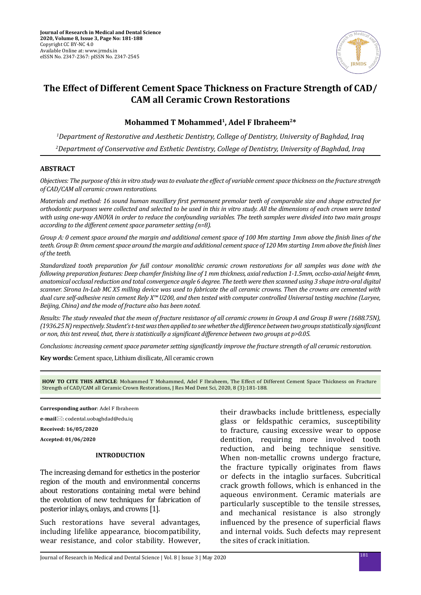

# **The Effect of Different Cement Space Thickness on Fracture Strength of CAD/ CAM all Ceramic Crown Restorations**

# **Mohammed T Mohammed1, Adel F Ibraheem2\***

*1 Department of Restorative and Aesthetic Dentistry, College of Dentistry, University of Baghdad, Iraq 2 Department of Conservative and Esthetic Dentistry, College of Dentistry, University of Baghdad, Iraq*

## **ABSTRACT**

*Objectives: The purpose of this in vitro study was to evaluate the effect of variable cement space thickness on the fracture strength of CAD/CAM all ceramic crown restorations.* 

*Materials and method: 16 sound human maxillary first permanent premolar teeth of comparable size and shape extracted for orthodontic purposes were collected and selected to be used in this in vitro study. All the dimensions of each crown were tested with using one-way ANOVA in order to reduce the confounding variables. The teeth samples were divided into two main groups according to the different cement space parameter setting (n=8).*

*Group A: 0 cement space around the margin and additional cement space of 100 Mm starting 1mm above the finish lines of the teeth. Group B: 0mm cement space around the margin and additional cement space of 120 Mm starting 1mm above the finish lines of the teeth.*

*Standardized tooth preparation for full contour monolithic ceramic crown restorations for all samples was done with the following preparation features: Deep chamfer finishing line of 1 mm thickness, axial reduction 1-1.5mm, occlso-axial height 4mm, anatomical occlusal reduction and total convergence angle 6 degree. The teeth were then scanned using 3 shape intra-oral digital scanner. Sirona In-Lab MC X5 milling device was used to fabricate the all ceramic crowns. Then the crowns are cemented with dual cure self-adhesive resin cement Rely X™ U200, and then tested with computer controlled Universal testing machine (Laryee, Beijing, China) and the mode of fracture also has been noted.*

*Results: The study revealed that the mean of fracture resistance of all ceramic crowns in Group A and Group B were (1688.75N), (1936.25 N) respectively. Student's t-test was then applied to see whether the difference between two groups statistically significant or non, this test reveal, that, there is statistically a significant difference between two groups at p>0.05.*

*Conclusions: increasing cement space parameter setting significantly improve the fracture strength of all ceramic restoration.*

**Key words:** Cement space, Lithium disilicate, All ceramic crown

**HOW TO CITE THIS ARTICLE**: Mohammed T Mohammed, Adel F Ibraheem, The Effect of Different Cement Space Thickness on Fracture Strength of CAD/CAM all Ceramic Crown Restorations, J Res Med Dent Sci, 2020, 8 (3):181-188.

**Corresponding author**: Adel F Ibraheem **e-mail** $⊠$ : codental.uobaghdad@edu.iq **Received: 16/05/2020 Accepted: 01/06/2020**

#### **INTRODUCTION**

The increasing demand for esthetics in the posterior region of the mouth and environmental concerns about restorations containing metal were behind the evolution of new techniques for fabrication of posterior inlays, onlays, and crowns [1].

Such restorations have several advantages, including lifelike appearance, biocompatibility, wear resistance, and color stability. However, their drawbacks include brittleness, especially glass or feldspathic ceramics, susceptibility to fracture, causing excessive wear to oppose dentition, requiring more involved tooth reduction, and being technique sensitive. When non-metallic crowns undergo fracture, the fracture typically originates from flaws or defects in the intaglio surfaces. Subcritical crack growth follows, which is enhanced in the aqueous environment. Ceramic materials are particularly susceptible to the tensile stresses, and mechanical resistance is also strongly influenced by the presence of superficial flaws and internal voids. Such defects may represent the sites of crack initiation.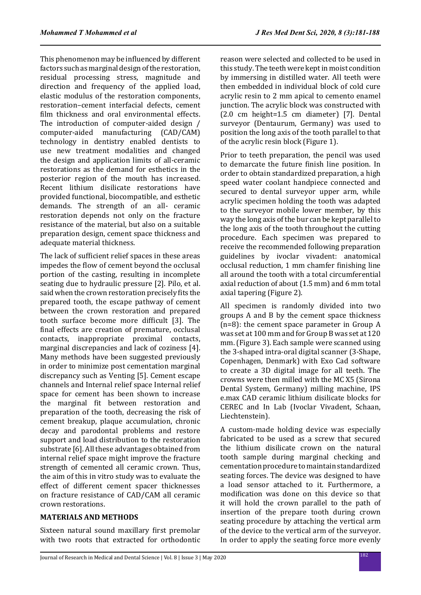This phenomenon may be influenced by different factors such as marginal design of the restoration, residual processing stress, magnitude and direction and frequency of the applied load, elastic modulus of the restoration components, restoration–cement interfacial defects, cement film thickness and oral environmental effects. The introduction of computer-aided design / computer-aided manufacturing (CAD/CAM) technology in dentistry enabled dentists to use new treatment modalities and changed the design and application limits of all-ceramic restorations as the demand for esthetics in the posterior region of the mouth has increased. Recent lithium disilicate restorations have provided functional, biocompatible, and esthetic demands. The strength of an all- ceramic restoration depends not only on the fracture resistance of the material, but also on a suitable preparation design, cement space thickness and adequate material thickness.

The lack of sufficient relief spaces in these areas impedes the flow of cement beyond the occlusal portion of the casting, resulting in incomplete seating due to hydraulic pressure [2]. Pilo, et al. said when the crown restoration precisely fits the prepared tooth, the escape pathway of cement between the crown restoration and prepared tooth surface become more difficult [3]. The final effects are creation of premature, occlusal contacts, inappropriate proximal contacts, marginal discrepancies and lack of coziness [4]. Many methods have been suggested previously in order to minimize post cementation marginal discrepancy such as Venting [5]. Cement escape channels and Internal relief space Internal relief space for cement has been shown to increase the marginal fit between restoration and preparation of the tooth, decreasing the risk of cement breakup, plaque accumulation, chronic decay and parodontal problems and restore support and load distribution to the restoration substrate [6]. All these advantages obtained from internal relief space might improve the fracture strength of cemented all ceramic crown. Thus, the aim of this in vitro study was to evaluate the effect of different cement spacer thicknesses on fracture resistance of CAD/CAM all ceramic crown restorations.

## **MATERIALS AND METHODS**

Sixteen natural sound maxillary first premolar with two roots that extracted for orthodontic reason were selected and collected to be used in this study. The teeth were kept in moist condition by immersing in distilled water. All teeth were then embedded in individual block of cold cure acrylic resin to 2 mm apical to cemento enamel junction. The acrylic block was constructed with (2.0 cm height=1.5 cm diameter) [7]. Dental surveyor (Dentaurum, Germany) was used to position the long axis of the tooth parallel to that of the acrylic resin block (Figure 1).

Prior to teeth preparation, the pencil was used to demarcate the future finish line position. In order to obtain standardized preparation, a high speed water coolant handpiece connected and secured to dental surveyor upper arm, while acrylic specimen holding the tooth was adapted to the surveyor mobile lower member, by this way the long axis of the bur can be kept parallel to the long axis of the tooth throughout the cutting procedure. Each specimen was prepared to receive the recommended following preparation guidelines by ivoclar vivadent: anatomical occlusal reduction, 1 mm chamfer finishing line all around the tooth with a total circumferential axial reduction of about (1.5 mm) and 6 mm total axial tapering (Figure 2).

All specimen is randomly divided into two groups A and B by the cement space thickness (n=8): the cement space parameter in Group A was set at 100 mm and for Group B was set at 120 mm. (Figure 3). Each sample were scanned using the 3-shaped intra-oral digital scanner (3-Shape, Copenhagen, Denmark) with Exo Cad software to create a 3D digital image for all teeth. The crowns were then milled with the MC X5 (Sirona Dental System, Germany) milling machine, IPS e.max CAD ceramic lithium disilicate blocks for CEREC and In Lab (Ivoclar Vivadent, Schaan, Liechtenstein).

A custom-made holding device was especially fabricated to be used as a screw that secured the lithium disilicate crown on the natural tooth sample during marginal checking and cementation procedure to maintain standardized seating forces. The device was designed to have a load sensor attached to it. Furthermore, a modification was done on this device so that it will hold the crown parallel to the path of insertion of the prepare tooth during crown seating procedure by attaching the vertical arm of the device to the vertical arm of the surveyor. In order to apply the seating force more evenly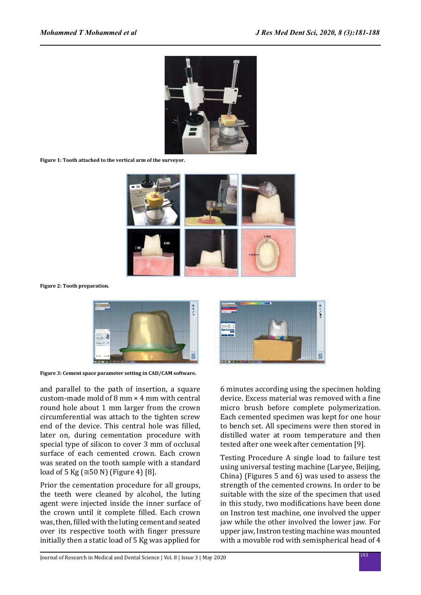

**Figure 1: Tooth attached to the vertical arm of the surveyor.**



**Figure 2: Tooth preparation.**



**Figure 3: Cement space parameter setting in CAD/CAM software.**

and parallel to the path of insertion, a square custom-made mold of 8 mm × 4 mm with central round hole about 1 mm larger from the crown circumferential was attach to the tighten screw end of the device. This central hole was filled, later on, during cementation procedure with special type of silicon to cover 3 mm of occlusal surface of each cemented crown. Each crown was seated on the tooth sample with a standard load of 5 Kg ( $\cong$  50 N) (Figure 4) [8].

Prior the cementation procedure for all groups, the teeth were cleaned by alcohol, the luting agent were injected inside the inner surface of the crown until it complete filled. Each crown was, then, filled with the luting cement and seated over its respective tooth with finger pressure initially then a static load of 5 Kg was applied for

6 minutes according using the specimen holding device. Excess material was removed with a fine micro brush before complete polymerization. Each cemented specimen was kept for one hour to bench set. All specimens were then stored in distilled water at room temperature and then tested after one week after cementation [9].

思える場

Testing Procedure A single load to failure test using universal testing machine (Laryee, Beijing, China) (Figures 5 and 6) was used to assess the strength of the cemented crowns. In order to be suitable with the size of the specimen that used in this study, two modifications have been done on Instron test machine, one involved the upper jaw while the other involved the lower jaw. For upper jaw, Instron testing machine was mounted with a movable rod with semispherical head of 4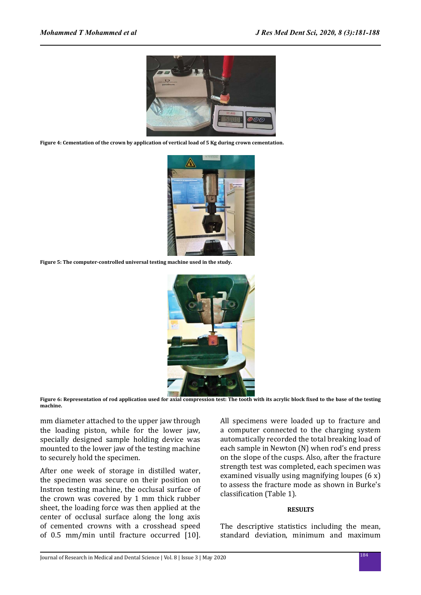

**Figure 4: Cementation of the crown by application of vertical load of 5 Kg during crown cementation.**



**Figure 5: The computer-controlled universal testing machine used in the study.**



**Figure 6: Representation of rod application used for axial compression test: The tooth with its acrylic block fixed to the base of the testing machine.**

mm diameter attached to the upper jaw through the loading piston, while for the lower jaw, specially designed sample holding device was mounted to the lower jaw of the testing machine to securely hold the specimen.

After one week of storage in distilled water, the specimen was secure on their position on Instron testing machine, the occlusal surface of the crown was covered by 1 mm thick rubber sheet, the loading force was then applied at the center of occlusal surface along the long axis of cemented crowns with a crosshead speed of 0.5 mm/min until fracture occurred [10]. All specimens were loaded up to fracture and a computer connected to the charging system automatically recorded the total breaking load of each sample in Newton (N) when rod's end press on the slope of the cusps. Also, after the fracture strength test was completed, each specimen was examined visually using magnifying loupes (6 x) to assess the fracture mode as shown in Burke's classification (Table 1).

#### **RESULTS**

The descriptive statistics including the mean, standard deviation, minimum and maximum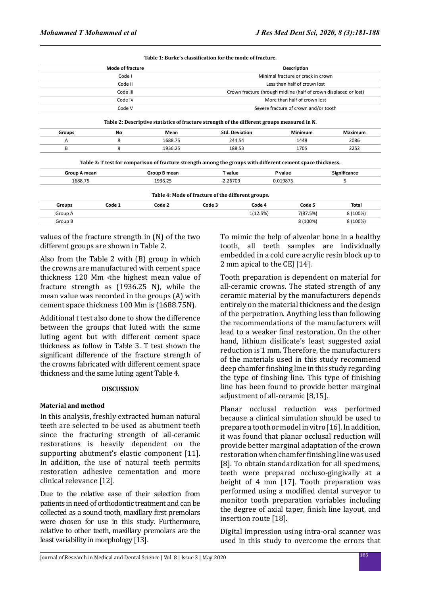|                                                                                             |                         |                                                                                                             | Table 1: Burke's classification for the mode of fracture.        |                                       |         |              |  |
|---------------------------------------------------------------------------------------------|-------------------------|-------------------------------------------------------------------------------------------------------------|------------------------------------------------------------------|---------------------------------------|---------|--------------|--|
|                                                                                             | <b>Mode of fracture</b> |                                                                                                             |                                                                  | <b>Description</b>                    |         |              |  |
| Code I                                                                                      |                         |                                                                                                             | Minimal fracture or crack in crown                               |                                       |         |              |  |
| Code II                                                                                     |                         |                                                                                                             | Less than half of crown lost                                     |                                       |         |              |  |
| Code III                                                                                    |                         |                                                                                                             | Crown fracture through midline (half of crown displaced or lost) |                                       |         |              |  |
| Code IV                                                                                     |                         |                                                                                                             |                                                                  | More than half of crown lost          |         |              |  |
| Code V                                                                                      |                         |                                                                                                             |                                                                  | Severe fracture of crown and/or tooth |         |              |  |
| Table 2: Descriptive statistics of fracture strength of the different groups measured in N. |                         |                                                                                                             |                                                                  |                                       |         |              |  |
| Groups                                                                                      | No                      | Mean                                                                                                        | <b>Std. Deviation</b>                                            |                                       | Minimum | Maximum      |  |
| Α                                                                                           | 8                       | 1688.75                                                                                                     | 244.54                                                           |                                       | 1448    | 2086         |  |
| B                                                                                           | 8                       | 1936.25                                                                                                     | 188.53                                                           |                                       | 1705    | 2252         |  |
|                                                                                             |                         | Table 3: T test for comparison of fracture strength among the groups with different cement space thickness. |                                                                  |                                       |         |              |  |
| Group A mean                                                                                |                         | Group B mean                                                                                                | T value                                                          |                                       | P value | Significance |  |
| 1688.75                                                                                     |                         | 1936.25                                                                                                     | $-2.26709$                                                       | 0.019875                              |         | S            |  |
| Table 4: Mode of fracture of the different groups.                                          |                         |                                                                                                             |                                                                  |                                       |         |              |  |
| <b>Groups</b>                                                                               | Code 1                  | Code 2                                                                                                      | Code 3                                                           | Code 4                                | Code 5  | <b>Total</b> |  |

Group A 1(12.5%) 7(87.5%) 8 (100%) Group B 8 (100%) 8 (100%)

values of the fracture strength in (N) of the two different groups are shown in Table 2.

Also from the Table 2 with (B) group in which the crowns are manufactured with cement space thickness 120 Mm ،the highest mean value of fracture strength as (1936.25 N), while the mean value was recorded in the groups (A) with cement space thickness 100 Mm is (1688.75N).

Additional t test also done to show the difference between the groups that luted with the same luting agent but with different cement space thickness as follow in Table 3. T test shown the significant difference of the fracture strength of the crowns fabricated with different cement space thickness and the same luting agent Table 4.

#### **DISCUSSION**

#### **Material and method**

In this analysis, freshly extracted human natural teeth are selected to be used as abutment teeth since the fracturing strength of all-ceramic restorations is heavily dependent on the supporting abutment's elastic component [11]. In addition, the use of natural teeth permits restoration adhesive cementation and more clinical relevance [12].

Due to the relative ease of their selection from patients in need of orthodontic treatment and can be collected as a sound tooth, maxillary first premolars were chosen for use in this study. Furthermore, relative to other teeth, maxillary premolars are the least variability in morphology [13].

To mimic the help of alveolar bone in a healthy tooth, all teeth samples are individually embedded in a cold cure acrylic resin block up to 2 mm apical to the CEJ [14].

Tooth preparation is dependent on material for all-ceramic crowns. The stated strength of any ceramic material by the manufacturers depends entirely on the material thickness and the design of the perpetration. Anything less than following the recommendations of the manufacturers will lead to a weaker final restoration. On the other hand, lithium disilicate's least suggested axial reduction is 1 mm. Therefore, the manufacturers of the materials used in this study recommend deep chamfer finshing line in this study regarding the type of finshing line. This type of finishing line has been found to provide better marginal adjustment of all-ceramic [8,15].

Planar occlusal reduction was performed because a clinical simulation should be used to prepare a tooth or model in vitro [16]. In addition, it was found that planar occlusal reduction will provide better marginal adaptation of the crown restoration when chamfer finishing line was used [8]. To obtain standardization for all specimens, teeth were prepared occluso-gingivally at a height of 4 mm [17]. Tooth preparation was performed using a modified dental surveyor to monitor tooth preparation variables including the degree of axial taper, finish line layout, and insertion route [18].

Digital impression using intra-oral scanner was used in this study to overcome the errors that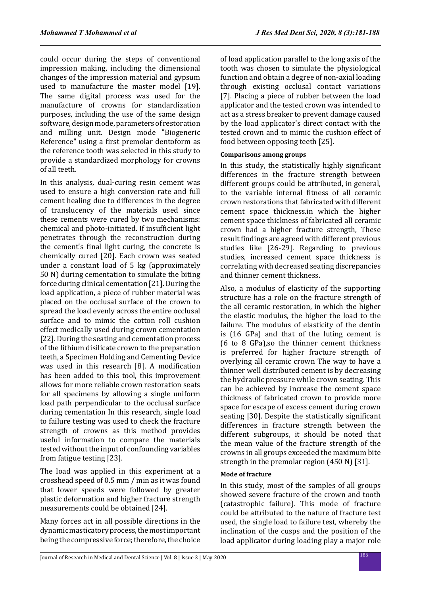could occur during the steps of conventional impression making, including the dimensional changes of the impression material and gypsum used to manufacture the master model [19]. The same digital process was used for the manufacture of crowns for standardization purposes, including the use of the same design software, design mode, parameters of restoration and milling unit. Design mode "Biogeneric Reference" using a first premolar dentoform as the reference tooth was selected in this study to provide a standardized morphology for crowns of all teeth.

In this analysis, dual-curing resin cement was used to ensure a high conversion rate and full cement healing due to differences in the degree of translucency of the materials used since these cements were cured by two mechanisms: chemical and photo-initiated. If insufficient light penetrates through the reconstruction during the cement's final light curing, the concrete is chemically cured [20]. Each crown was seated under a constant load of 5 kg (approximately 50 N) during cementation to simulate the biting force during clinical cementation [21]. During the load application, a piece of rubber material was placed on the occlusal surface of the crown to spread the load evenly across the entire occlusal surface and to mimic the cotton roll cushion effect medically used during crown cementation [22]. During the seating and cementation process of the lithium disilicate crown to the preparation teeth, a Specimen Holding and Cementing Device was used in this research [8]. A modification has been added to this tool, this improvement allows for more reliable crown restoration seats for all specimens by allowing a single uniform load path perpendicular to the occlusal surface during cementation In this research, single load to failure testing was used to check the fracture strength of crowns as this method provides useful information to compare the materials tested without the input of confounding variables from fatigue testing [23].

The load was applied in this experiment at a crosshead speed of 0.5 mm / min as it was found that lower speeds were followed by greater plastic deformation and higher fracture strength measurements could be obtained [24].

Many forces act in all possible directions in the dynamic masticatory process, the most important being the compressive force; therefore, the choice of load application parallel to the long axis of the tooth was chosen to simulate the physiological function and obtain a degree of non-axial loading through existing occlusal contact variations [7]. Placing a piece of rubber between the load applicator and the tested crown was intended to act as a stress breaker to prevent damage caused by the load applicator's direct contact with the tested crown and to mimic the cushion effect of food between opposing teeth [25].

## **Comparisons among groups**

In this study, the statistically highly significant differences in the fracture strength between different groups could be attributed, in general, to the variable internal fitness of all ceramic crown restorations that fabricated with different cement space thickness.in which the higher cement space thickness of fabricated all ceramic crown had a higher fracture strength, These result findings are agreed with different previous studies like [26-29]. Regarding to previous studies, increased cement space thickness is correlating with decreased seating discrepancies and thinner cement thickness.

Also, a modulus of elasticity of the supporting structure has a role on the fracture strength of the all ceramic restoration, in which the higher the elastic modulus, the higher the load to the failure. The modulus of elasticity of the dentin is (16 GPa) and that of the luting cement is (6 to 8 GPa),so the thinner cement thickness is preferred for higher fracture strength of overlying all ceramic crown The way to have a thinner well distributed cement is by decreasing the hydraulic pressure while crown seating. This can be achieved by increase the cement space thickness of fabricated crown to provide more space for escape of excess cement during crown seating [30]. Despite the statistically significant differences in fracture strength between the different subgroups, it should be noted that the mean value of the fracture strength of the crowns in all groups exceeded the maximum bite strength in the premolar region (450 N) [31].

## **Mode of fracture**

In this study, most of the samples of all groups showed severe fracture of the crown and tooth (catastrophic failure). This mode of fracture could be attributed to the nature of fracture test used, the single load to failure test, whereby the inclination of the cusps and the position of the load applicator during loading play a major role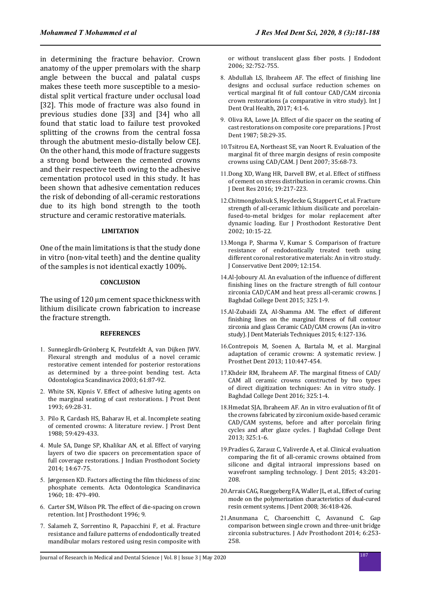in determining the fracture behavior. Crown anatomy of the upper premolars with the sharp angle between the buccal and palatal cusps makes these teeth more susceptible to a mesiodistal split vertical fracture under occlusal load [32]. This mode of fracture was also found in previous studies done [33] and [34] who all found that static load to failure test provoked splitting of the crowns from the central fossa through the abutment mesio-distally below CEJ. On the other hand, this mode of fracture suggests a strong bond between the cemented crowns and their respective teeth owing to the adhesive cementation protocol used in this study. It has been shown that adhesive cementation reduces the risk of debonding of all-ceramic restorations due to its high bond strength to the tooth structure and ceramic restorative materials.

## **LIMITATION**

One of the main limitations is that the study done in vitro (non-vital teeth) and the dentine quality of the samples is not identical exactly 100%.

## **CONCLUSION**

The using of 120 μm cement space thickness with lithium disilicate crown fabrication to increase the fracture strength.

#### **REFERENCES**

- 1. Sunnegårdh-Grönberg K, Peutzfeldt A, van Dijken JWV. Flexural strength and modulus of a novel ceramic restorative cement intended for posterior restorations as determined by a three-point bending test. Acta Odontologica Scandinavica 2003; 61:87-92.
- 2. White SN, Kipnis V. Effect of adhesive luting agents on the marginal seating of cast restorations. J Prost Dent 1993; 69:28-31.
- 3. Pilo R, Cardash HS, Baharav H, et al. Incomplete seating of cemented crowns: A literature review. J Prost Dent 1988; 59:429-433.
- 4. Mule SA, Dange SP, Khalikar AN, et al. Effect of varying layers of two die spacers on precementation space of full coverage restorations. J Indian Prosthodont Society 2014; 14:67-75.
- 5. Jørgensen KD. Factors affecting the film thickness of zinc phosphate cements. Acta Odontologica Scandinavica 1960; 18: 479-490.
- 6. Carter SM, Wilson PR. The effect of die-spacing on crown retention. Int J Prosthodont 1996; 9.
- 7. Salameh Z, Sorrentino R, Papacchini F, et al. Fracture resistance and failure patterns of endodontically treated mandibular molars restored using resin composite with

or without translucent glass fiber posts. J Endodont 2006; 32:752-755.

- 8. Abdullah LS, Ibraheem AF. The effect of finishing line designs and occlusal surface reduction schemes on vertical marginal fit of full contour CAD/CAM zirconia crown restorations (a comparative in vitro study). Int J Dent Oral Health, 2017; 4:1-6.
- 9. Oliva RA, Lowe JA. Effect of die spacer on the seating of cast restorations on composite core preparations. J Prost Dent 1987; 58:29-35.
- 10.Tsitrou EA, Northeast SE, van Noort R. Evaluation of the marginal fit of three margin designs of resin composite crowns using CAD/CAM. J Dent 2007; 35:68-73.
- 11.Dong XD, Wang HR, Darvell BW, et al. Effect of stiffness of cement on stress distribution in ceramic crowns. Chin J Dent Res 2016; 19:217-223.
- 12.Chitmongkolsuk S, Heydecke G, Stappert C, et al. Fracture strength of all-ceramic lithium disilicate and porcelainfused-to-metal bridges for molar replacement after dynamic loading. Eur J Prosthodont Restorative Dent 2002; 10:15-22.
- 13.Monga P, Sharma V, Kumar S. Comparison of fracture resistance of endodontically treated teeth using different coronal restorative materials: An in vitro study. J Conservative Dent 2009; 12:154.
- 14.Al-Joboury AI. An evaluation of the influence of different finishing lines on the fracture strength of full contour zirconia CAD/CAM and heat press all-ceramic crowns. J Baghdad College Dent 2015; 325:1-9.
- 15.Al-Zubaidi ZA, Al-Shamma AM. The effect of different finishing lines on the marginal fitness of full contour zirconia and glass Ceramic CAD/CAM crowns (An in-vitro study). J Dent Materials Techniques 2015; 4:127-136.
- 16.Contrepois M, Soenen A, Bartala M, et al. Marginal adaptation of ceramic crowns: A systematic review. J Prosthet Dent 2013; 110:447-454.
- 17.Khdeir RM, Ibraheem AF. The marginal fitness of CAD/ CAM all ceramic crowns constructed by two types of direct digitization techniques: An in vitro study. J Baghdad College Dent 2016; 325:1-4.
- 18.Hmedat SJA, Ibraheem AF. An in vitro evaluation of fit of the crowns fabricated by zirconium oxide-based ceramic CAD/CAM systems, before and after porcelain firing cycles and after glaze cycles. J Baghdad College Dent 2013; 325:1-6.
- 19.Pradíes G, Zarauz C, Valiverde A, et al. Clinical evaluation comparing the fit of all-ceramic crowns obtained from silicone and digital intraoral impressions based on wavefront sampling technology. J Dent 2015; 43:201- 208.
- 20.Arrais CAG, Rueggeberg FA, Waller JL, et al., Effect of curing mode on the polymerization characteristics of dual-cured resin cement systems. J Dent 2008; 36:418-426.
- 21.Anunmana C, Charoenchitt C, Asvanund C. Gap comparison between single crown and three-unit bridge zirconia substructures. J Adv Prosthodont 2014; 6:253- 258.